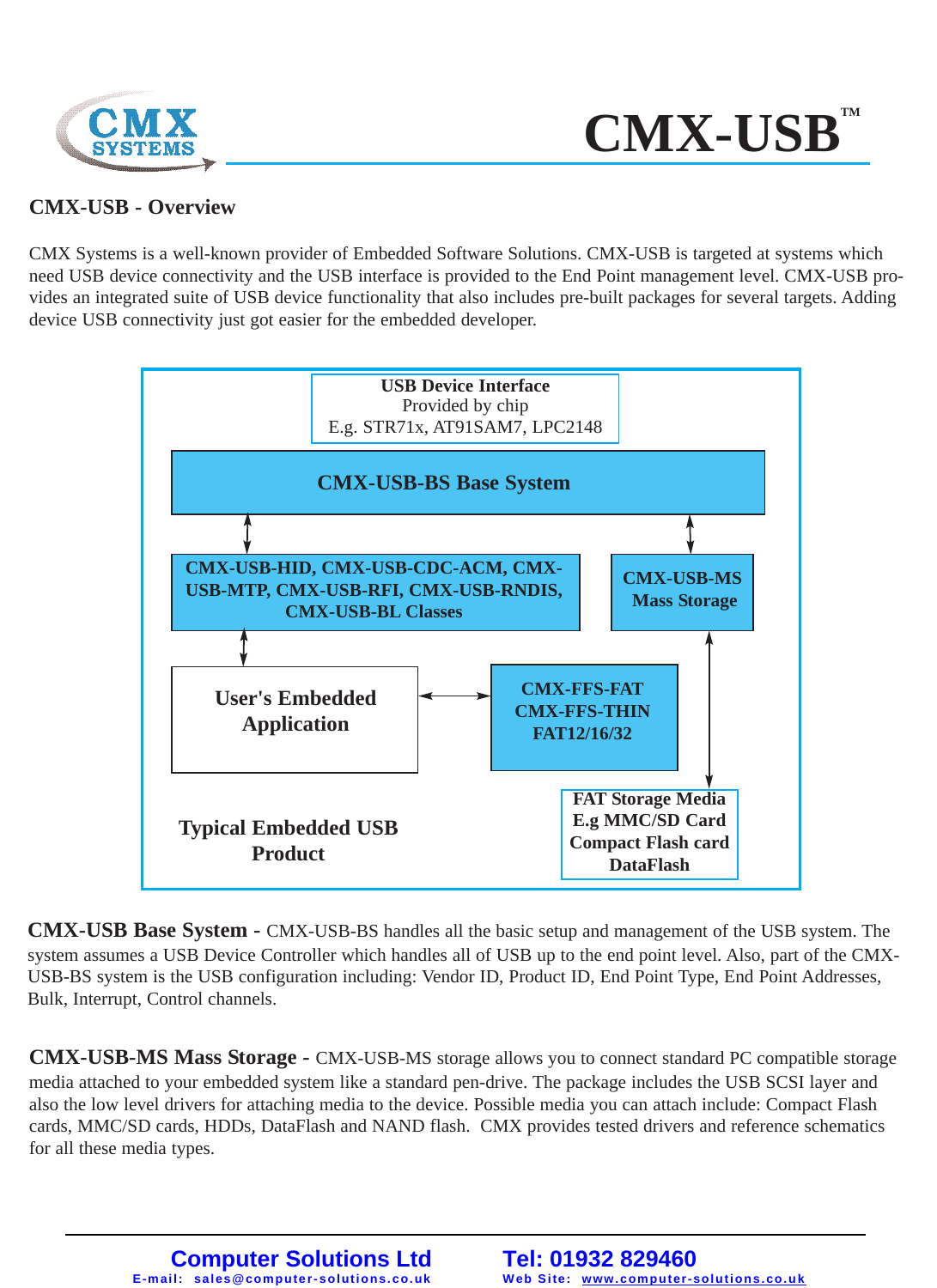



#### **CMX-USB - Overview**

CMX Systems is a well-known provider of Embedded Software Solutions. CMX-USB is targeted at systems which need USB device connectivity and the USB interface is provided to the End Point management level. CMX-USB provides an integrated suite of USB device functionality that also includes pre-built packages for several targets. Adding device USB connectivity just got easier for the embedded developer.



**CMX-USB Base System -** CMX-USB-BS handles all the basic setup and management of the USB system. The system assumes a USB Device Controller which handles all of USB up to the end point level. Also, part of the CMX-USB-BS system is the USB configuration including: Vendor ID, Product ID, End Point Type, End Point Addresses, Bulk, Interrupt, Control channels.

**CMX-USB-MS Mass Storage -** CMX-USB-MS storage allows you to connect standard PC compatible storage media attached to your embedded system like a standard pen-drive. The package includes the USB SCSI layer and also the low level drivers for attaching media to the device. Possible media you can attach include: Compact Flash cards, MMC/SD cards, HDDs, DataFlash and NAND flash. CMX provides tested drivers and reference schematics for all these media types.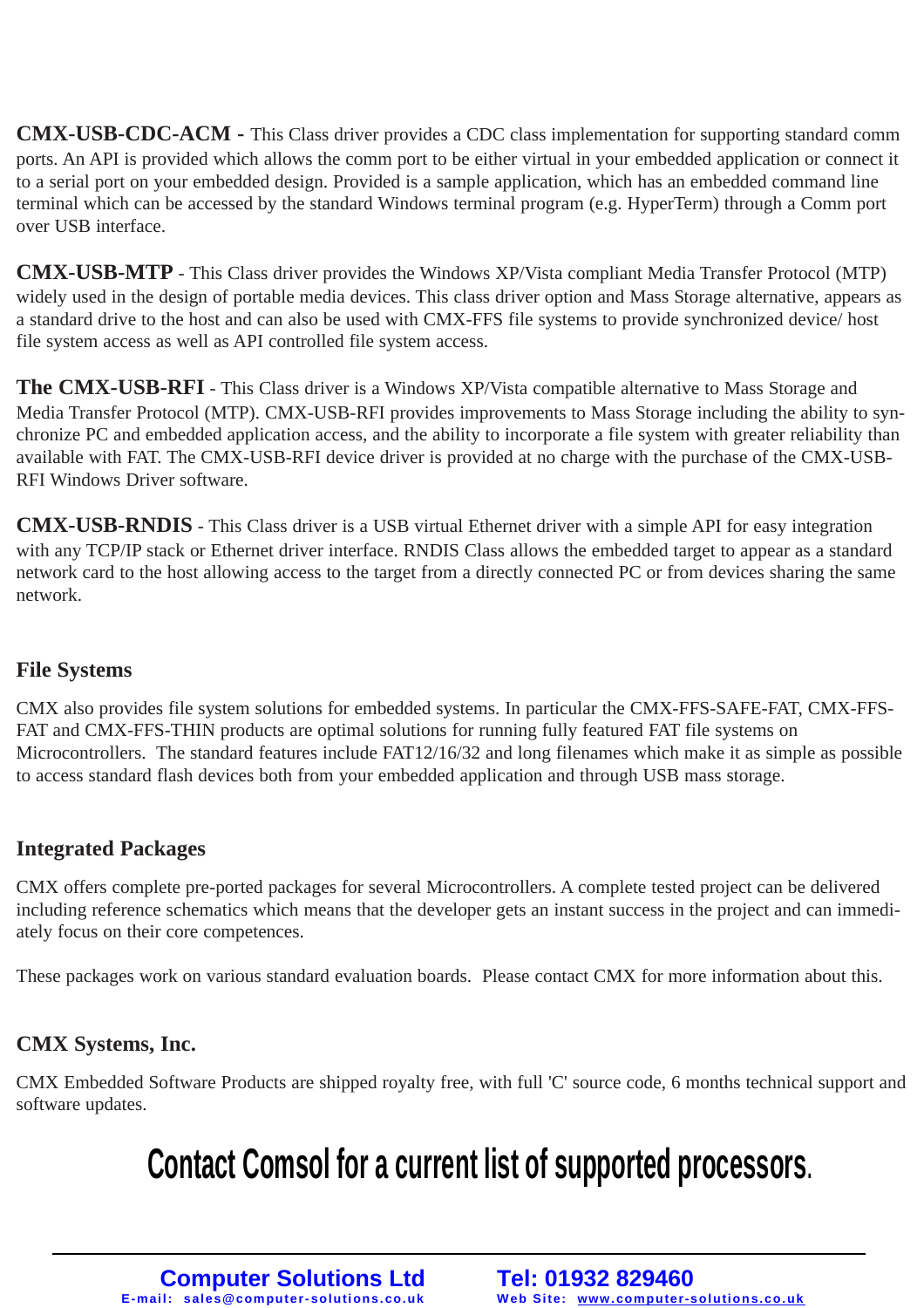**CMX-USB-CDC-ACM -** This Class driver provides a CDC class implementation for supporting standard comm ports. An API is provided which allows the comm port to be either virtual in your embedded application or connect it to a serial port on your embedded design. Provided is a sample application, which has an embedded command line terminal which can be accessed by the standard Windows terminal program (e.g. HyperTerm) through a Comm port over USB interface.

**CMX-USB-MTP** - This Class driver provides the Windows XP/Vista compliant Media Transfer Protocol (MTP) widely used in the design of portable media devices. This class driver option and Mass Storage alternative, appears as a standard drive to the host and can also be used with CMX-FFS file systems to provide synchronized device/ host file system access as well as API controlled file system access.

**The CMX-USB-RFI** - This Class driver is a Windows XP/Vista compatible alternative to Mass Storage and Media Transfer Protocol (MTP). CMX-USB-RFI provides improvements to Mass Storage including the ability to synchronize PC and embedded application access, and the ability to incorporate a file system with greater reliability than available with FAT. The CMX-USB-RFI device driver is provided at no charge with the purchase of the CMX-USB-RFI Windows Driver software.

**CMX-USB-RNDIS** - This Class driver is a USB virtual Ethernet driver with a simple API for easy integration with any TCP/IP stack or Ethernet driver interface. RNDIS Class allows the embedded target to appear as a standard network card to the host allowing access to the target from a directly connected PC or from devices sharing the same network.

#### **File Systems**

CMX also provides file system solutions for embedded systems. In particular the CMX-FFS-SAFE-FAT, CMX-FFS-FAT and CMX-FFS-THIN products are optimal solutions for running fully featured FAT file systems on Microcontrollers. The standard features include FAT12/16/32 and long filenames which make it as simple as possible to access standard flash devices both from your embedded application and through USB mass storage.

#### **Integrated Packages**

CMX offers complete pre-ported packages for several Microcontrollers. A complete tested project can be delivered including reference schematics which means that the developer gets an instant success in the project and can immediately focus on their core competences.

These packages work on various standard evaluation boards. Please contact CMX for more information about this.

#### **CMX Systems, Inc.**

CMX Embedded Software Products are shipped royalty free, with full 'C' source code, 6 months technical support and software updates.

# **Contact Comsol for a current list of supported processors**.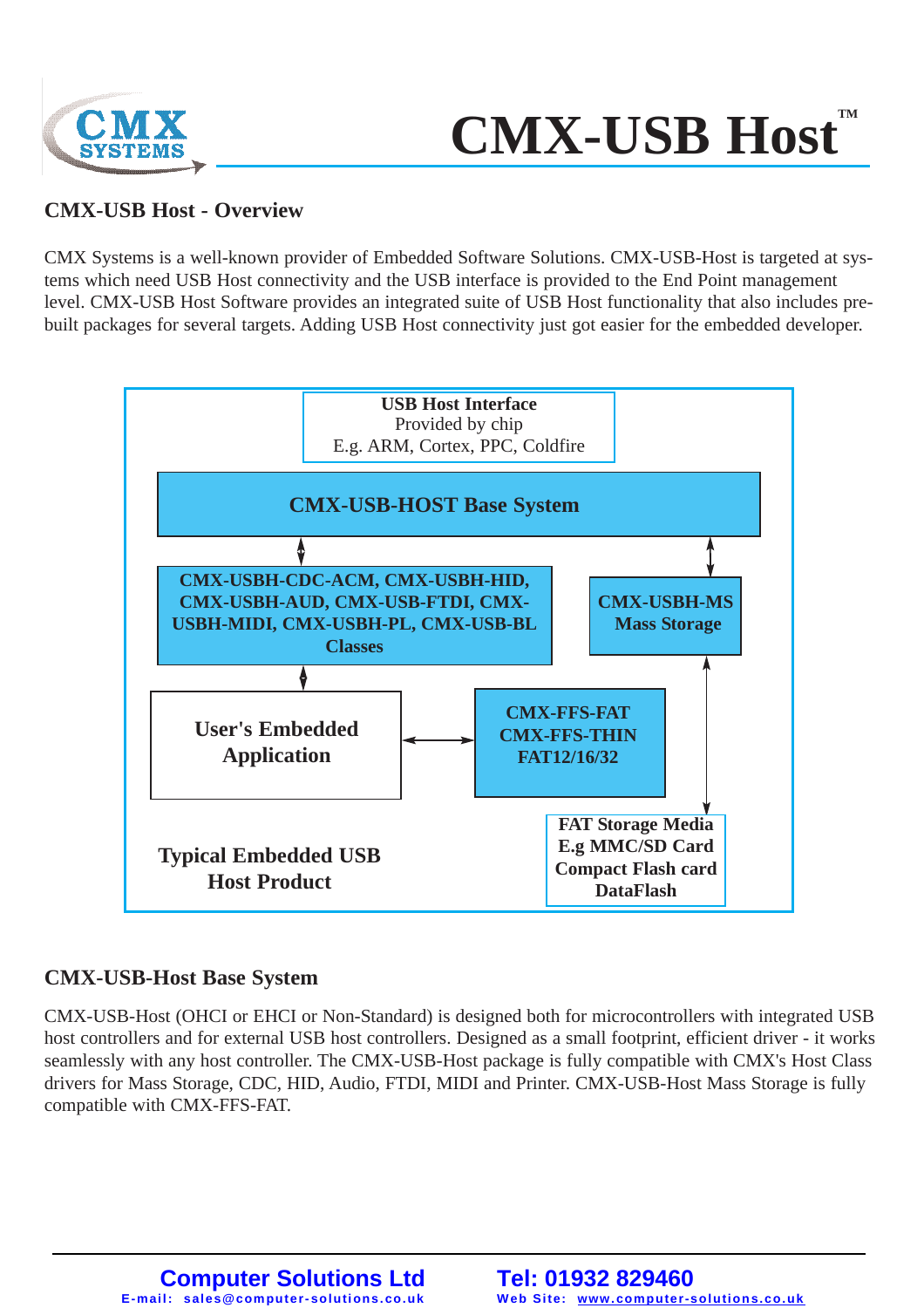

# **CMX-USB Host**

#### **CMX-USB Host - Overview**

CMX Systems is a well-known provider of Embedded Software Solutions. CMX-USB-Host is targeted at systems which need USB Host connectivity and the USB interface is provided to the End Point management level. CMX-USB Host Software provides an integrated suite of USB Host functionality that also includes prebuilt packages for several targets. Adding USB Host connectivity just got easier for the embedded developer.



#### **CMX-USB-Host Base System**

CMX-USB-Host (OHCI or EHCI or Non-Standard) is designed both for microcontrollers with integrated USB host controllers and for external USB host controllers. Designed as a small footprint, efficient driver - it works seamlessly with any host controller. The CMX-USB-Host package is fully compatible with CMX's Host Class drivers for Mass Storage, CDC, HID, Audio, FTDI, MIDI and Printer. CMX-USB-Host Mass Storage is fully compatible with CMX-FFS-FAT.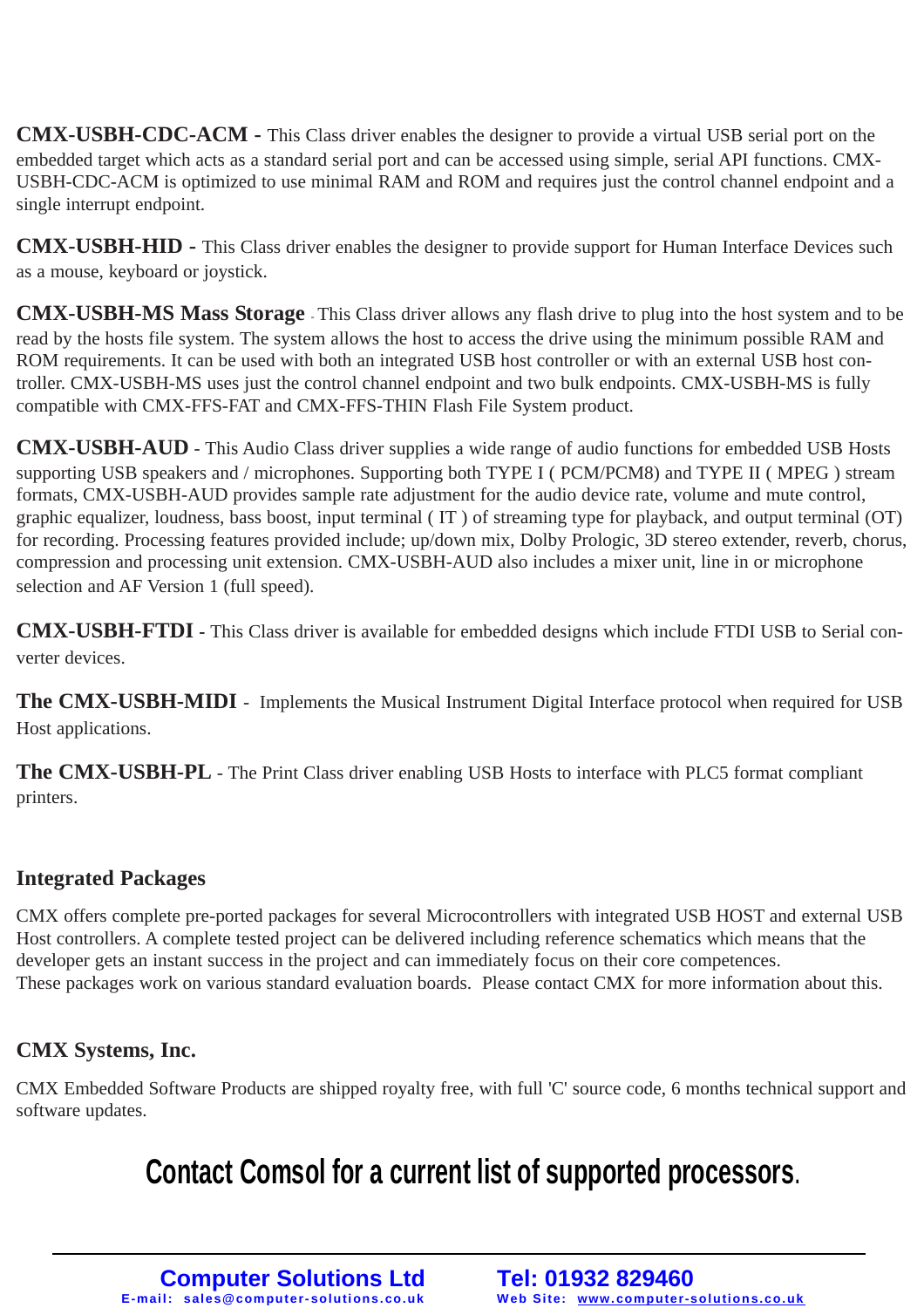**CMX-USBH-CDC-ACM -** This Class driver enables the designer to provide a virtual USB serial port on the embedded target which acts as a standard serial port and can be accessed using simple, serial API functions. CMX-USBH-CDC-ACM is optimized to use minimal RAM and ROM and requires just the control channel endpoint and a single interrupt endpoint.

**CMX-USBH-HID -** This Class driver enables the designer to provide support for Human Interface Devices such as a mouse, keyboard or joystick.

**CMX-USBH-MS Mass Storage** - This Class driver allows any flash drive to plug into the host system and to be read by the hosts file system. The system allows the host to access the drive using the minimum possible RAM and ROM requirements. It can be used with both an integrated USB host controller or with an external USB host controller. CMX-USBH-MS uses just the control channel endpoint and two bulk endpoints. CMX-USBH-MS is fully compatible with CMX-FFS-FAT and CMX-FFS-THIN Flash File System product.

**CMX-USBH-AUD** - This Audio Class driver supplies a wide range of audio functions for embedded USB Hosts supporting USB speakers and / microphones. Supporting both TYPE I (PCM/PCM8) and TYPE II (MPEG) stream formats, CMX-USBH-AUD provides sample rate adjustment for the audio device rate, volume and mute control, graphic equalizer, loudness, bass boost, input terminal ( IT ) of streaming type for playback, and output terminal (OT) for recording. Processing features provided include; up/down mix, Dolby Prologic, 3D stereo extender, reverb, chorus, compression and processing unit extension. CMX-USBH-AUD also includes a mixer unit, line in or microphone selection and AF Version 1 (full speed).

**CMX-USBH-FTDI -** This Class driver is available for embedded designs which include FTDI USB to Serial converter devices.

**The CMX-USBH-MIDI** - Implements the Musical Instrument Digital Interface protocol when required for USB Host applications.

**The CMX-USBH-PL** - The Print Class driver enabling USB Hosts to interface with PLC5 format compliant printers.

#### **Integrated Packages**

CMX offers complete pre-ported packages for several Microcontrollers with integrated USB HOST and external USB Host controllers. A complete tested project can be delivered including reference schematics which means that the developer gets an instant success in the project and can immediately focus on their core competences. These packages work on various standard evaluation boards. Please contact CMX for more information about this.

#### **CMX Systems, Inc.**

CMX Embedded Software Products are shipped royalty free, with full 'C' source code, 6 months technical support and software updates.

## **Contact Comsol for a current list of supported processors**.

**Computer Solutions Ltd E-mail: sales@computer- solutions. co.uk**